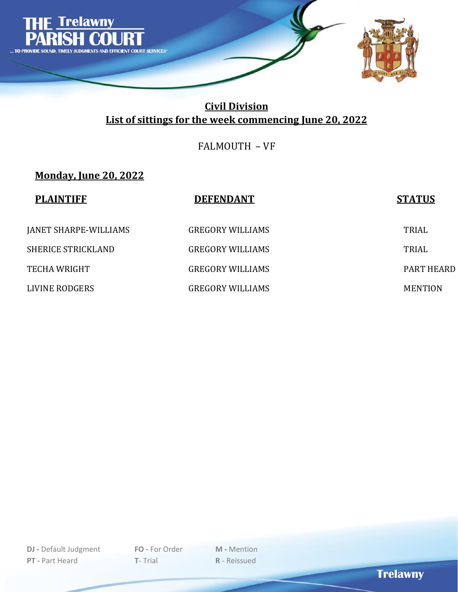

FALMOUTH – VF

**Monday, June 20, 2022**

| <b>PLAINTIFF</b>          | <b>DEFENDANT</b>        | <b>STATUS</b>  |
|---------------------------|-------------------------|----------------|
| JANET SHARPE-WILLIAMS     | <b>GREGORY WILLIAMS</b> | TRIAL          |
| <b>SHERICE STRICKLAND</b> | <b>GREGORY WILLIAMS</b> | <b>TRIAL</b>   |
| <b>TECHA WRIGHT</b>       | <b>GREGORY WILLIAMS</b> | PART HEARD     |
| LIVINE RODGERS            | <b>GREGORY WILLIAMS</b> | <b>MENTION</b> |

**Trelawny**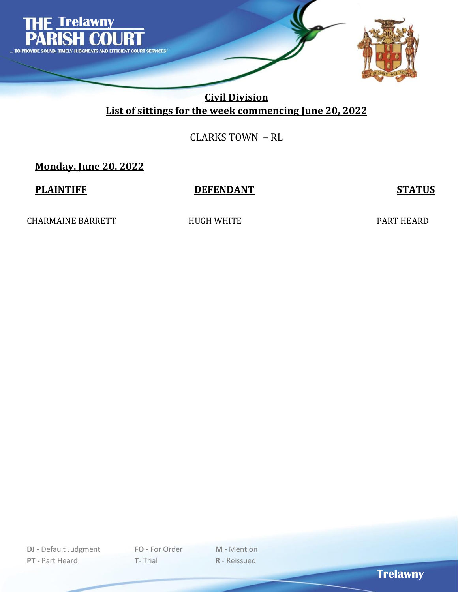

## CLARKS TOWN – RL

**Monday, June 20, 2022**

#### **PLAINTIFF DEFENDANT STATUS**

CHARMAINE BARRETT HUGH WHITE PART HEARD

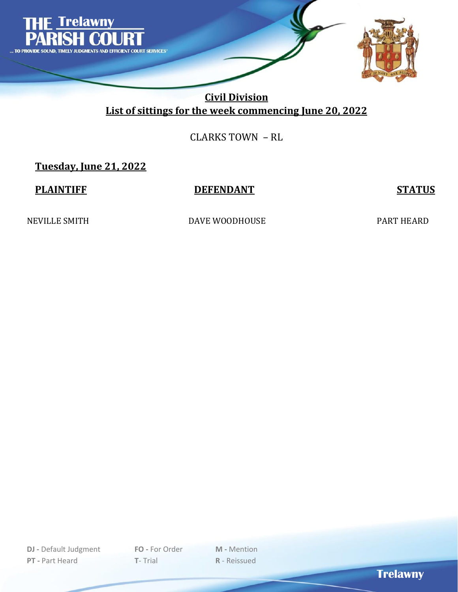

## CLARKS TOWN – RL

**Tuesday, June 21, 2022**

#### **PLAINTIFF DEFENDANT STATUS**

NEVILLE SMITH DAVE WOODHOUSE PART HEARD

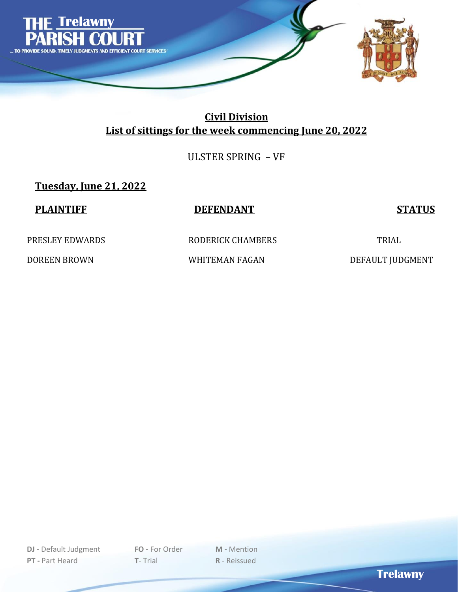

ULSTER SPRING – VF

**Tuesday, June 21, 2022**

| <b>PLAINTIFF</b>    | <b>DEFENDANT</b>  | <b>STATUS</b>    |
|---------------------|-------------------|------------------|
| PRESLEY EDWARDS     | RODERICK CHAMBERS | <b>TRIAL</b>     |
| <b>DOREEN BROWN</b> | WHITEMAN FAGAN    | DEFAULT JUDGMENT |

**Trelawny**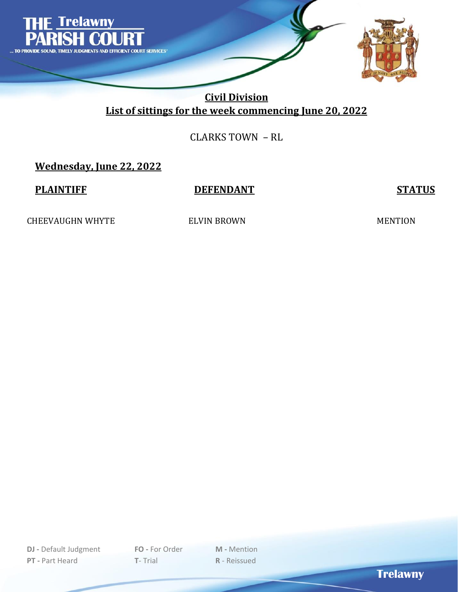

## CLARKS TOWN – RL

# **Wednesday, June 22, 2022**

#### **PLAINTIFF DEFENDANT STATUS**

CHEEVAUGHN WHYTE ELVIN BROWN ELVIN BROWN MENTION

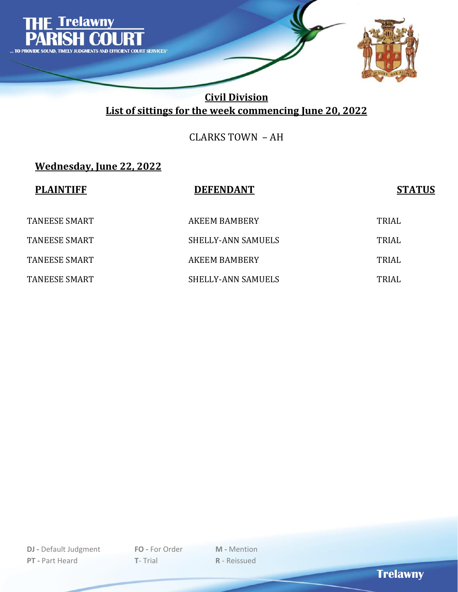

CLARKS TOWN – AH

# **Wednesday, June 22, 2022**

| <b>PLAINTIFF</b> | <b>DEFENDANT</b>          | <b>STATUS</b> |
|------------------|---------------------------|---------------|
| TANEESE SMART    | AKEEM BAMBERY             | <b>TRIAL</b>  |
| TANEESE SMART    | SHELLY-ANN SAMUELS        | <b>TRIAL</b>  |
| TANEESE SMART    | AKEEM BAMBERY             | <b>TRIAL</b>  |
| TANEESE SMART    | <b>SHELLY-ANN SAMUELS</b> | TRIAL         |

**Trelawny**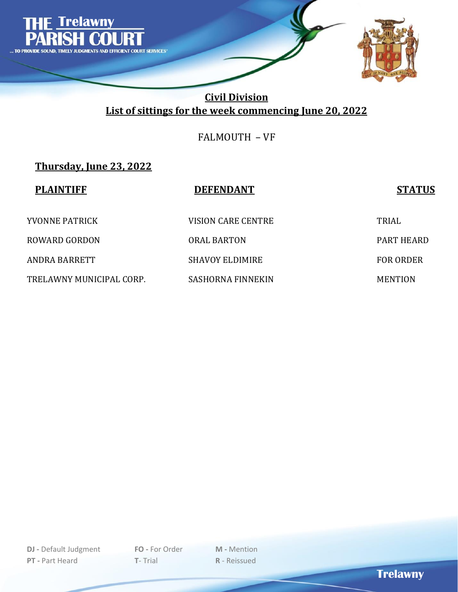

FALMOUTH – VF

# **Thursday, June 23, 2022**

| <b>PLAINTIFF</b>         | <b>DEFENDANT</b>       | <b>STATUS</b>    |
|--------------------------|------------------------|------------------|
| <b>YVONNE PATRICK</b>    | VISION CARE CENTRE     | TRIAL            |
| <b>ROWARD GORDON</b>     | <b>ORAL BARTON</b>     | PART HEARD       |
| ANDRA BARRETT            | <b>SHAVOY ELDIMIRE</b> | <b>FOR ORDER</b> |
| TRELAWNY MUNICIPAL CORP. | SASHORNA FINNEKIN      | <b>MENTION</b>   |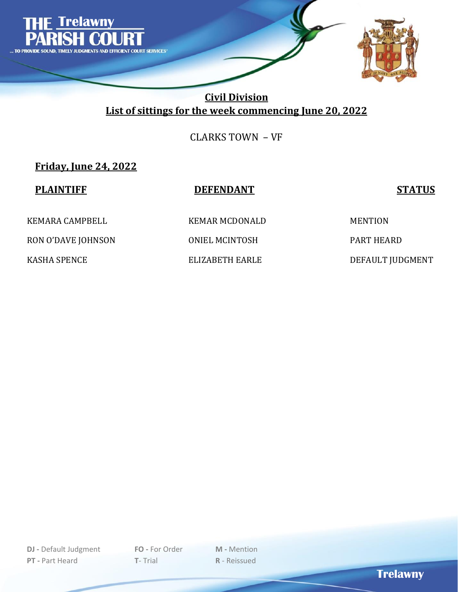

CLARKS TOWN – VF

**Friday, June 24, 2022**

| <b>PLAINTIFF</b>    | <b>DEFENDANT</b> | <b>STATUS</b>     |
|---------------------|------------------|-------------------|
| KEMARA CAMPBELL     | KEMAR MCDONALD   | <b>MENTION</b>    |
| RON O'DAVE JOHNSON  | ONIEL MCINTOSH   | <b>PART HEARD</b> |
| <b>KASHA SPENCE</b> | ELIZABETH EARLE  | DEFAULT JUDGMENT  |